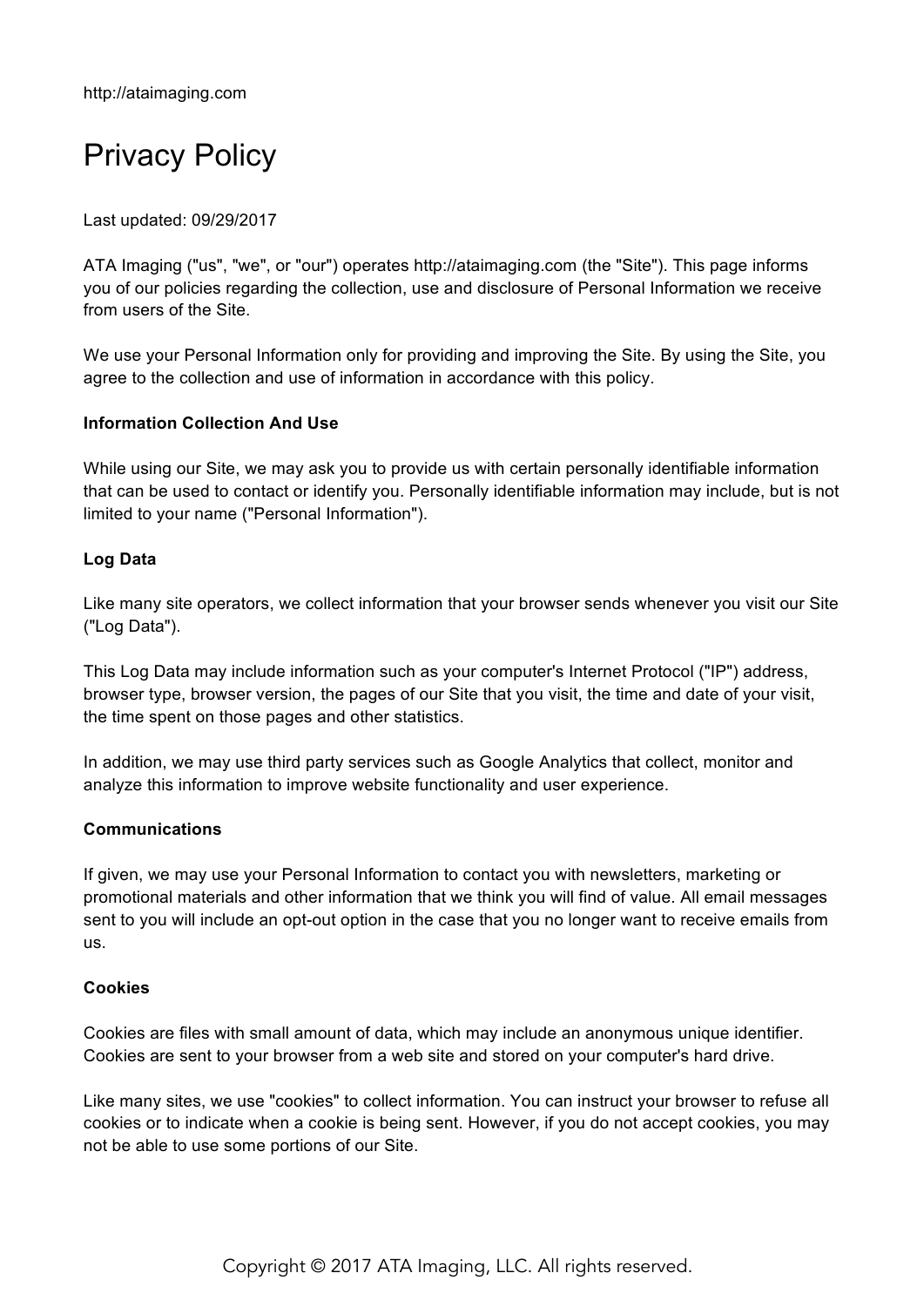# Privacy Policy

Last updated: 09/29/2017

ATA Imaging ("us", "we", or "our") operates http://ataimaging.com (the "Site"). This page informs you of our policies regarding the collection, use and disclosure of Personal Information we receive from users of the Site.

We use your Personal Information only for providing and improving the Site. By using the Site, you agree to the collection and use of information in accordance with this policy.

## **Information Collection And Use**

While using our Site, we may ask you to provide us with certain personally identifiable information that can be used to contact or identify you. Personally identifiable information may include, but is not limited to your name ("Personal Information").

## **Log Data**

Like many site operators, we collect information that your browser sends whenever you visit our Site ("Log Data").

This Log Data may include information such as your computer's Internet Protocol ("IP") address, browser type, browser version, the pages of our Site that you visit, the time and date of your visit, the time spent on those pages and other statistics.

In addition, we may use third party services such as Google Analytics that collect, monitor and analyze this information to improve website functionality and user experience.

#### **Communications**

If given, we may use your Personal Information to contact you with newsletters, marketing or promotional materials and other information that we think you will find of value. All email messages sent to you will include an opt-out option in the case that you no longer want to receive emails from us.

#### **Cookies**

Cookies are files with small amount of data, which may include an anonymous unique identifier. Cookies are sent to your browser from a web site and stored on your computer's hard drive.

Like many sites, we use "cookies" to collect information. You can instruct your browser to refuse all cookies or to indicate when a cookie is being sent. However, if you do not accept cookies, you may not be able to use some portions of our Site.